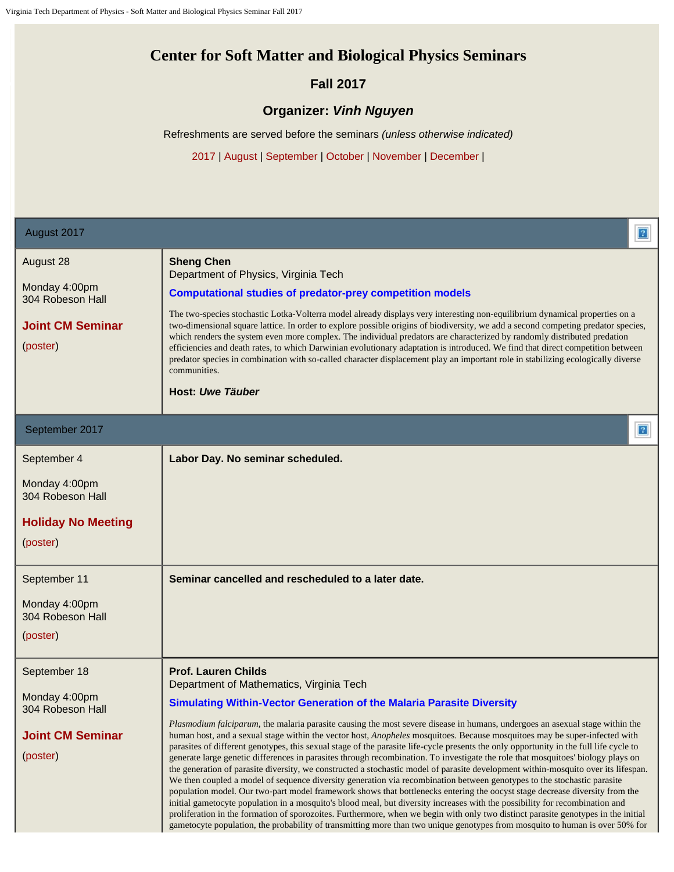## **Center for Soft Matter and Biological Physics Seminars**

## **Fall 2017**

## **Organizer:** *Vinh Nguyen*

Refreshments are served before the seminars *(unless otherwise indicated)*

2017 | August | September | October | November | December |

| August 2017                                                                                                                                                | $\sqrt{2}$                                                                                                                                                                                                                                                                                                                                                                                                                                                                                                                                                                                                                                                                                                                                                                                                                                                                                                                                                                                                                                                                                                                                                                                                                                                                                                                                                                                                                                                                                               |  |
|------------------------------------------------------------------------------------------------------------------------------------------------------------|----------------------------------------------------------------------------------------------------------------------------------------------------------------------------------------------------------------------------------------------------------------------------------------------------------------------------------------------------------------------------------------------------------------------------------------------------------------------------------------------------------------------------------------------------------------------------------------------------------------------------------------------------------------------------------------------------------------------------------------------------------------------------------------------------------------------------------------------------------------------------------------------------------------------------------------------------------------------------------------------------------------------------------------------------------------------------------------------------------------------------------------------------------------------------------------------------------------------------------------------------------------------------------------------------------------------------------------------------------------------------------------------------------------------------------------------------------------------------------------------------------|--|
| August 28<br>Monday 4:00pm<br>304 Robeson Hall<br><b>Joint CM Seminar</b><br>(poster)                                                                      | <b>Sheng Chen</b><br>Department of Physics, Virginia Tech<br><b>Computational studies of predator-prey competition models</b><br>The two-species stochastic Lotka-Volterra model already displays very interesting non-equilibrium dynamical properties on a<br>two-dimensional square lattice. In order to explore possible origins of biodiversity, we add a second competing predator species,<br>which renders the system even more complex. The individual predators are characterized by randomly distributed predation<br>efficiencies and death rates, to which Darwinian evolutionary adaptation is introduced. We find that direct competition between<br>predator species in combination with so-called character displacement play an important role in stabilizing ecologically diverse<br>communities.<br>Host: Uwe Täuber                                                                                                                                                                                                                                                                                                                                                                                                                                                                                                                                                                                                                                                                 |  |
| September 2017                                                                                                                                             | $\sqrt{3}$                                                                                                                                                                                                                                                                                                                                                                                                                                                                                                                                                                                                                                                                                                                                                                                                                                                                                                                                                                                                                                                                                                                                                                                                                                                                                                                                                                                                                                                                                               |  |
| September 4<br>Monday 4:00pm<br>304 Robeson Hall<br><b>Holiday No Meeting</b><br>(poster)<br>September 11<br>Monday 4:00pm<br>304 Robeson Hall<br>(poster) | Labor Day. No seminar scheduled.<br>Seminar cancelled and rescheduled to a later date.                                                                                                                                                                                                                                                                                                                                                                                                                                                                                                                                                                                                                                                                                                                                                                                                                                                                                                                                                                                                                                                                                                                                                                                                                                                                                                                                                                                                                   |  |
| September 18<br>Monday 4:00pm<br>304 Robeson Hall<br><b>Joint CM Seminar</b><br>(poster)                                                                   | <b>Prof. Lauren Childs</b><br>Department of Mathematics, Virginia Tech<br><b>Simulating Within-Vector Generation of the Malaria Parasite Diversity</b><br>Plasmodium falciparum, the malaria parasite causing the most severe disease in humans, undergoes an asexual stage within the<br>human host, and a sexual stage within the vector host, Anopheles mosquitoes. Because mosquitoes may be super-infected with<br>parasites of different genotypes, this sexual stage of the parasite life-cycle presents the only opportunity in the full life cycle to<br>generate large genetic differences in parasites through recombination. To investigate the role that mosquitoes' biology plays on<br>the generation of parasite diversity, we constructed a stochastic model of parasite development within-mosquito over its lifespan.<br>We then coupled a model of sequence diversity generation via recombination between genotypes to the stochastic parasite<br>population model. Our two-part model framework shows that bottlenecks entering the oocyst stage decrease diversity from the<br>initial gametocyte population in a mosquito's blood meal, but diversity increases with the possibility for recombination and<br>proliferation in the formation of sporozoites. Furthermore, when we begin with only two distinct parasite genotypes in the initial<br>gametocyte population, the probability of transmitting more than two unique genotypes from mosquito to human is over 50% for |  |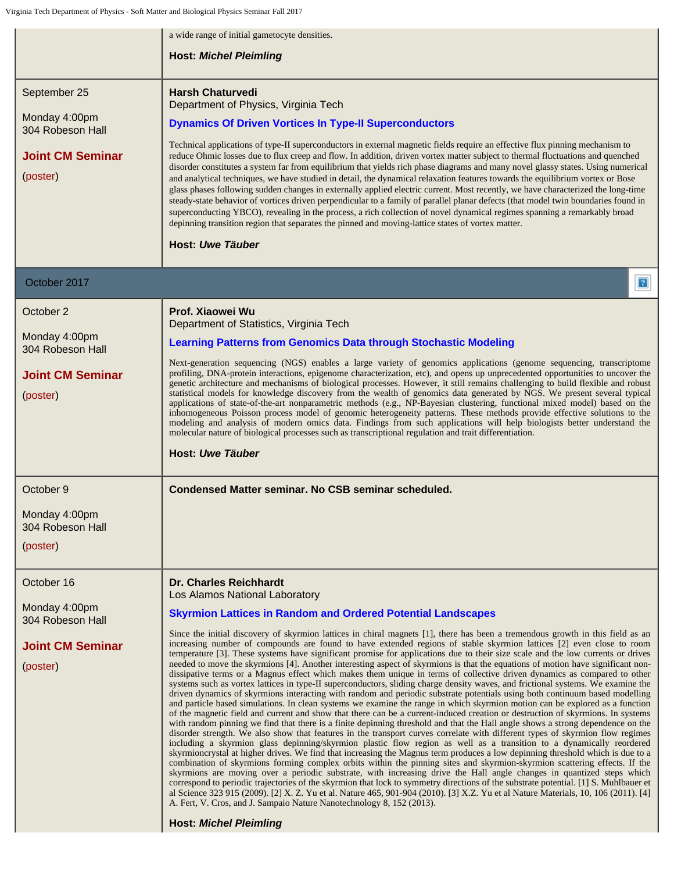|                                                                                          | a wide range of initial gametocyte densities.                                                                                                                                                                                                                                                                                                                                                                                                                                                                                                                                                                                                                                                                                                                                                                                                                                                                                                                                                                                                                                                                                                                                                                                                                                                                                                                                                                                                                                                                                                                                                                                                                                                                                                                                                                                                                                                                                                                                                                                                                                                                                                                                                                                                                                                                                                                                                                                                                                                                 |
|------------------------------------------------------------------------------------------|---------------------------------------------------------------------------------------------------------------------------------------------------------------------------------------------------------------------------------------------------------------------------------------------------------------------------------------------------------------------------------------------------------------------------------------------------------------------------------------------------------------------------------------------------------------------------------------------------------------------------------------------------------------------------------------------------------------------------------------------------------------------------------------------------------------------------------------------------------------------------------------------------------------------------------------------------------------------------------------------------------------------------------------------------------------------------------------------------------------------------------------------------------------------------------------------------------------------------------------------------------------------------------------------------------------------------------------------------------------------------------------------------------------------------------------------------------------------------------------------------------------------------------------------------------------------------------------------------------------------------------------------------------------------------------------------------------------------------------------------------------------------------------------------------------------------------------------------------------------------------------------------------------------------------------------------------------------------------------------------------------------------------------------------------------------------------------------------------------------------------------------------------------------------------------------------------------------------------------------------------------------------------------------------------------------------------------------------------------------------------------------------------------------------------------------------------------------------------------------------------------------|
|                                                                                          | <b>Host: Michel Pleimling</b>                                                                                                                                                                                                                                                                                                                                                                                                                                                                                                                                                                                                                                                                                                                                                                                                                                                                                                                                                                                                                                                                                                                                                                                                                                                                                                                                                                                                                                                                                                                                                                                                                                                                                                                                                                                                                                                                                                                                                                                                                                                                                                                                                                                                                                                                                                                                                                                                                                                                                 |
| September 25<br>Monday 4:00pm<br>304 Robeson Hall<br><b>Joint CM Seminar</b><br>(poster) | <b>Harsh Chaturvedi</b><br>Department of Physics, Virginia Tech<br><b>Dynamics Of Driven Vortices In Type-II Superconductors</b><br>Technical applications of type-II superconductors in external magnetic fields require an effective flux pinning mechanism to<br>reduce Ohmic losses due to flux creep and flow. In addition, driven vortex matter subject to thermal fluctuations and quenched<br>disorder constitutes a system far from equilibrium that yields rich phase diagrams and many novel glassy states. Using numerical<br>and analytical techniques, we have studied in detail, the dynamical relaxation features towards the equilibrium vortex or Bose<br>glass phases following sudden changes in externally applied electric current. Most recently, we have characterized the long-time<br>steady-state behavior of vortices driven perpendicular to a family of parallel planar defects (that model twin boundaries found in<br>superconducting YBCO), revealing in the process, a rich collection of novel dynamical regimes spanning a remarkably broad<br>depinning transition region that separates the pinned and moving-lattice states of vortex matter.<br>Host: Uwe Täuber                                                                                                                                                                                                                                                                                                                                                                                                                                                                                                                                                                                                                                                                                                                                                                                                                                                                                                                                                                                                                                                                                                                                                                                                                                                                                                      |
| October 2017                                                                             | $\sqrt{2}$                                                                                                                                                                                                                                                                                                                                                                                                                                                                                                                                                                                                                                                                                                                                                                                                                                                                                                                                                                                                                                                                                                                                                                                                                                                                                                                                                                                                                                                                                                                                                                                                                                                                                                                                                                                                                                                                                                                                                                                                                                                                                                                                                                                                                                                                                                                                                                                                                                                                                                    |
| October 2<br>Monday 4:00pm<br>304 Robeson Hall<br><b>Joint CM Seminar</b><br>(poster)    | Prof. Xiaowei Wu<br>Department of Statistics, Virginia Tech<br><b>Learning Patterns from Genomics Data through Stochastic Modeling</b><br>Next-generation sequencing (NGS) enables a large variety of genomics applications (genome sequencing, transcriptome<br>profiling, DNA-protein interactions, epigenome characterization, etc), and opens up unprecedented opportunities to uncover the<br>genetic architecture and mechanisms of biological processes. However, it still remains challenging to build flexible and robust<br>statistical models for knowledge discovery from the wealth of genomics data generated by NGS. We present several typical<br>applications of state-of-the-art nonparametric methods (e.g., NP-Bayesian clustering, functional mixed model) based on the<br>inhomogeneous Poisson process model of genomic heterogeneity patterns. These methods provide effective solutions to the<br>modeling and analysis of modern omics data. Findings from such applications will help biologists better understand the<br>molecular nature of biological processes such as transcriptional regulation and trait differentiation.<br>Host: Uwe Täuber                                                                                                                                                                                                                                                                                                                                                                                                                                                                                                                                                                                                                                                                                                                                                                                                                                                                                                                                                                                                                                                                                                                                                                                                                                                                                                                               |
| October 9<br>Monday 4:00pm<br>304 Robeson Hall<br>(poster)                               | Condensed Matter seminar. No CSB seminar scheduled.                                                                                                                                                                                                                                                                                                                                                                                                                                                                                                                                                                                                                                                                                                                                                                                                                                                                                                                                                                                                                                                                                                                                                                                                                                                                                                                                                                                                                                                                                                                                                                                                                                                                                                                                                                                                                                                                                                                                                                                                                                                                                                                                                                                                                                                                                                                                                                                                                                                           |
| October 16<br>Monday 4:00pm<br>304 Robeson Hall<br><b>Joint CM Seminar</b><br>(poster)   | Dr. Charles Reichhardt<br>Los Alamos National Laboratory<br><b>Skyrmion Lattices in Random and Ordered Potential Landscapes</b><br>Since the initial discovery of skyrmion lattices in chiral magnets [1], there has been a tremendous growth in this field as an<br>increasing number of compounds are found to have extended regions of stable skyrmion lattices [2] even close to room<br>temperature [3]. These systems have significant promise for applications due to their size scale and the low currents or drives<br>needed to move the skyrmions [4]. Another interesting aspect of skyrmions is that the equations of motion have significant non-<br>dissipative terms or a Magnus effect which makes them unique in terms of collective driven dynamics as compared to other<br>systems such as vortex lattices in type-II superconductors, sliding charge density waves, and frictional systems. We examine the<br>driven dynamics of skyrmions interacting with random and periodic substrate potentials using both continuum based modelling<br>and particle based simulations. In clean systems we examine the range in which skyrmion motion can be explored as a function<br>of the magnetic field and current and show that there can be a current-induced creation or destruction of skyrmions. In systems<br>with random pinning we find that there is a finite depinning threshold and that the Hall angle shows a strong dependence on the<br>disorder strength. We also show that features in the transport curves correlate with different types of skyrmion flow regimes<br>including a skyrmion glass depinning/skyrmion plastic flow region as well as a transition to a dynamically reordered<br>skyrmioncrystal at higher drives. We find that increasing the Magnus term produces a low depinning threshold which is due to a<br>combination of skyrmions forming complex orbits within the pinning sites and skyrmion-skyrmion scattering effects. If the<br>skyrmions are moving over a periodic substrate, with increasing drive the Hall angle changes in quantized steps which<br>correspond to periodic trajectories of the skyrmion that lock to symmetry directions of the substrate potential. [1] S. Muhlbauer et<br>al Science 323 915 (2009). [2] X. Z. Yu et al. Nature 465, 901-904 (2010). [3] X.Z. Yu et al Nature Materials, 10, 106 (2011). [4]<br>A. Fert, V. Cros, and J. Sampaio Nature Nanotechnology 8, 152 (2013).<br><b>Host: Michel Pleimling</b> |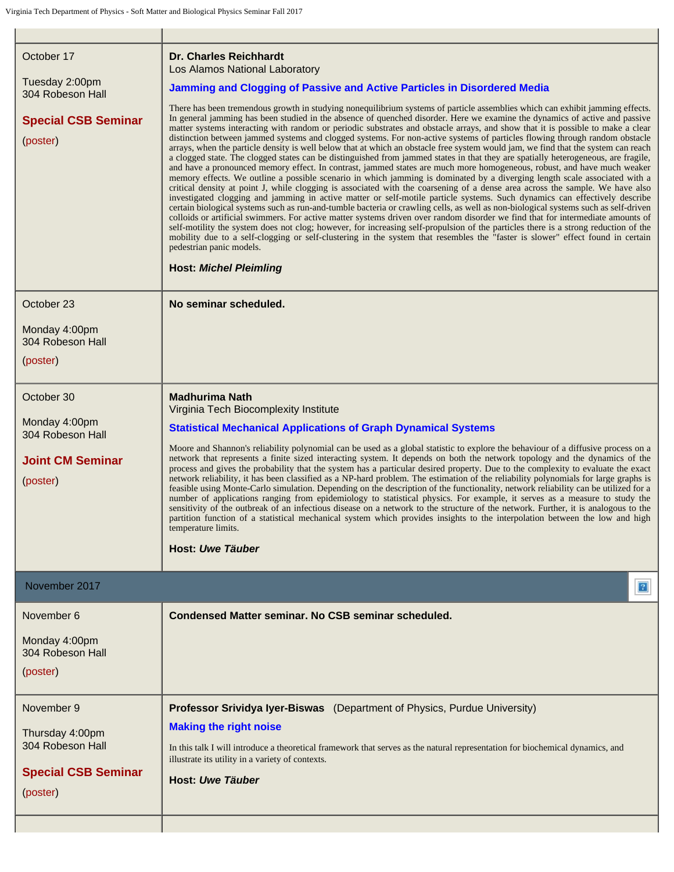| October 17<br>Tuesday 2:00pm<br>304 Robeson Hall<br><b>Special CSB Seminar</b><br>(poster)  | <b>Dr. Charles Reichhardt</b><br>Los Alamos National Laboratory<br>Jamming and Clogging of Passive and Active Particles in Disordered Media<br>There has been tremendous growth in studying nonequilibrium systems of particle assemblies which can exhibit jamming effects.<br>In general jamming has been studied in the absence of quenched disorder. Here we examine the dynamics of active and passive<br>matter systems interacting with random or periodic substrates and obstacle arrays, and show that it is possible to make a clear<br>distinction between jammed systems and clogged systems. For non-active systems of particles flowing through random obstacle<br>arrays, when the particle density is well below that at which an obstacle free system would jam, we find that the system can reach<br>a clogged state. The clogged states can be distinguished from jammed states in that they are spatially heterogeneous, are fragile,<br>and have a pronounced memory effect. In contrast, jammed states are much more homogeneous, robust, and have much weaker<br>memory effects. We outline a possible scenario in which jamming is dominated by a diverging length scale associated with a<br>critical density at point J, while clogging is associated with the coarsening of a dense area across the sample. We have also<br>investigated clogging and jamming in active matter or self-motile particle systems. Such dynamics can effectively describe<br>certain biological systems such as run-and-tumble bacteria or crawling cells, as well as non-biological systems such as self-driven<br>colloids or artificial swimmers. For active matter systems driven over random disorder we find that for intermediate amounts of<br>self-motility the system does not clog; however, for increasing self-propulsion of the particles there is a strong reduction of the<br>mobility due to a self-clogging or self-clustering in the system that resembles the "faster is slower" effect found in certain<br>pedestrian panic models.<br><b>Host: Michel Pleimling</b> |
|---------------------------------------------------------------------------------------------|---------------------------------------------------------------------------------------------------------------------------------------------------------------------------------------------------------------------------------------------------------------------------------------------------------------------------------------------------------------------------------------------------------------------------------------------------------------------------------------------------------------------------------------------------------------------------------------------------------------------------------------------------------------------------------------------------------------------------------------------------------------------------------------------------------------------------------------------------------------------------------------------------------------------------------------------------------------------------------------------------------------------------------------------------------------------------------------------------------------------------------------------------------------------------------------------------------------------------------------------------------------------------------------------------------------------------------------------------------------------------------------------------------------------------------------------------------------------------------------------------------------------------------------------------------------------------------------------------------------------------------------------------------------------------------------------------------------------------------------------------------------------------------------------------------------------------------------------------------------------------------------------------------------------------------------------------------------------------------------------------------------------------------------------------------------------------------------------------|
| October 23                                                                                  | No seminar scheduled.                                                                                                                                                                                                                                                                                                                                                                                                                                                                                                                                                                                                                                                                                                                                                                                                                                                                                                                                                                                                                                                                                                                                                                                                                                                                                                                                                                                                                                                                                                                                                                                                                                                                                                                                                                                                                                                                                                                                                                                                                                                                             |
| Monday 4:00pm<br>304 Robeson Hall<br>(poster)                                               |                                                                                                                                                                                                                                                                                                                                                                                                                                                                                                                                                                                                                                                                                                                                                                                                                                                                                                                                                                                                                                                                                                                                                                                                                                                                                                                                                                                                                                                                                                                                                                                                                                                                                                                                                                                                                                                                                                                                                                                                                                                                                                   |
| October 30                                                                                  | <b>Madhurima Nath</b>                                                                                                                                                                                                                                                                                                                                                                                                                                                                                                                                                                                                                                                                                                                                                                                                                                                                                                                                                                                                                                                                                                                                                                                                                                                                                                                                                                                                                                                                                                                                                                                                                                                                                                                                                                                                                                                                                                                                                                                                                                                                             |
| Monday 4:00pm<br>304 Robeson Hall<br><b>Joint CM Seminar</b><br>(poster)                    | Virginia Tech Biocomplexity Institute<br><b>Statistical Mechanical Applications of Graph Dynamical Systems</b><br>Moore and Shannon's reliability polynomial can be used as a global statistic to explore the behaviour of a diffusive process on a<br>network that represents a finite sized interacting system. It depends on both the network topology and the dynamics of the<br>process and gives the probability that the system has a particular desired property. Due to the complexity to evaluate the exact<br>network reliability, it has been classified as a NP-hard problem. The estimation of the reliability polynomials for large graphs is<br>feasible using Monte-Carlo simulation. Depending on the description of the functionality, network reliability can be utilized for a<br>number of applications ranging from epidemiology to statistical physics. For example, it serves as a measure to study the<br>sensitivity of the outbreak of an infectious disease on a network to the structure of the network. Further, it is analogous to the<br>partition function of a statistical mechanical system which provides insights to the interpolation between the low and high<br>temperature limits.<br>Host: Uwe Täuber                                                                                                                                                                                                                                                                                                                                                                                                                                                                                                                                                                                                                                                                                                                                                                                                                                                  |
| November 2017                                                                               | $\overline{3}$                                                                                                                                                                                                                                                                                                                                                                                                                                                                                                                                                                                                                                                                                                                                                                                                                                                                                                                                                                                                                                                                                                                                                                                                                                                                                                                                                                                                                                                                                                                                                                                                                                                                                                                                                                                                                                                                                                                                                                                                                                                                                    |
| November 6                                                                                  | Condensed Matter seminar. No CSB seminar scheduled.                                                                                                                                                                                                                                                                                                                                                                                                                                                                                                                                                                                                                                                                                                                                                                                                                                                                                                                                                                                                                                                                                                                                                                                                                                                                                                                                                                                                                                                                                                                                                                                                                                                                                                                                                                                                                                                                                                                                                                                                                                               |
| Monday 4:00pm<br>304 Robeson Hall<br>(poster)                                               |                                                                                                                                                                                                                                                                                                                                                                                                                                                                                                                                                                                                                                                                                                                                                                                                                                                                                                                                                                                                                                                                                                                                                                                                                                                                                                                                                                                                                                                                                                                                                                                                                                                                                                                                                                                                                                                                                                                                                                                                                                                                                                   |
| November 9<br>Thursday 4:00pm<br>304 Robeson Hall<br><b>Special CSB Seminar</b><br>(poster) | Professor Srividya Iyer-Biswas (Department of Physics, Purdue University)<br><b>Making the right noise</b><br>In this talk I will introduce a theoretical framework that serves as the natural representation for biochemical dynamics, and<br>illustrate its utility in a variety of contexts.<br>Host: Uwe Täuber                                                                                                                                                                                                                                                                                                                                                                                                                                                                                                                                                                                                                                                                                                                                                                                                                                                                                                                                                                                                                                                                                                                                                                                                                                                                                                                                                                                                                                                                                                                                                                                                                                                                                                                                                                               |
|                                                                                             |                                                                                                                                                                                                                                                                                                                                                                                                                                                                                                                                                                                                                                                                                                                                                                                                                                                                                                                                                                                                                                                                                                                                                                                                                                                                                                                                                                                                                                                                                                                                                                                                                                                                                                                                                                                                                                                                                                                                                                                                                                                                                                   |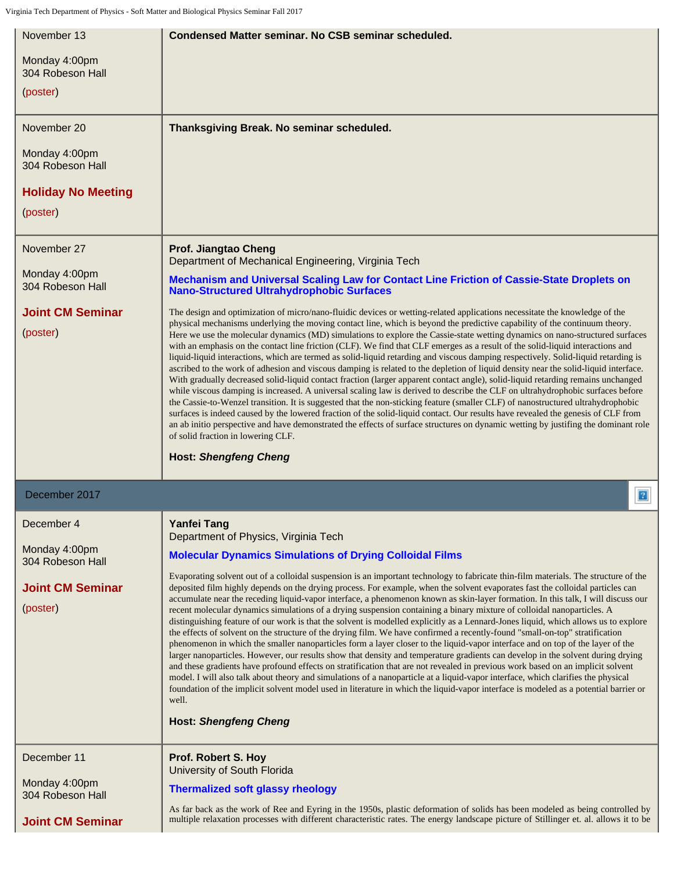| November 13                         | Condensed Matter seminar. No CSB seminar scheduled.                                                                                                                                                                                                                                                                                                                                                                                                                                                                                                                                                                                                                                                                                                                                                                                                                                                                                                                                                                                                                                                                                                                                                                                                                                                                                                                                                                                                                                                                                      |
|-------------------------------------|------------------------------------------------------------------------------------------------------------------------------------------------------------------------------------------------------------------------------------------------------------------------------------------------------------------------------------------------------------------------------------------------------------------------------------------------------------------------------------------------------------------------------------------------------------------------------------------------------------------------------------------------------------------------------------------------------------------------------------------------------------------------------------------------------------------------------------------------------------------------------------------------------------------------------------------------------------------------------------------------------------------------------------------------------------------------------------------------------------------------------------------------------------------------------------------------------------------------------------------------------------------------------------------------------------------------------------------------------------------------------------------------------------------------------------------------------------------------------------------------------------------------------------------|
| Monday 4:00pm<br>304 Robeson Hall   |                                                                                                                                                                                                                                                                                                                                                                                                                                                                                                                                                                                                                                                                                                                                                                                                                                                                                                                                                                                                                                                                                                                                                                                                                                                                                                                                                                                                                                                                                                                                          |
| (poster)                            |                                                                                                                                                                                                                                                                                                                                                                                                                                                                                                                                                                                                                                                                                                                                                                                                                                                                                                                                                                                                                                                                                                                                                                                                                                                                                                                                                                                                                                                                                                                                          |
| November 20                         | Thanksgiving Break. No seminar scheduled.                                                                                                                                                                                                                                                                                                                                                                                                                                                                                                                                                                                                                                                                                                                                                                                                                                                                                                                                                                                                                                                                                                                                                                                                                                                                                                                                                                                                                                                                                                |
| Monday 4:00pm<br>304 Robeson Hall   |                                                                                                                                                                                                                                                                                                                                                                                                                                                                                                                                                                                                                                                                                                                                                                                                                                                                                                                                                                                                                                                                                                                                                                                                                                                                                                                                                                                                                                                                                                                                          |
| <b>Holiday No Meeting</b>           |                                                                                                                                                                                                                                                                                                                                                                                                                                                                                                                                                                                                                                                                                                                                                                                                                                                                                                                                                                                                                                                                                                                                                                                                                                                                                                                                                                                                                                                                                                                                          |
| (poster)                            |                                                                                                                                                                                                                                                                                                                                                                                                                                                                                                                                                                                                                                                                                                                                                                                                                                                                                                                                                                                                                                                                                                                                                                                                                                                                                                                                                                                                                                                                                                                                          |
| November 27                         | Prof. Jiangtao Cheng<br>Department of Mechanical Engineering, Virginia Tech                                                                                                                                                                                                                                                                                                                                                                                                                                                                                                                                                                                                                                                                                                                                                                                                                                                                                                                                                                                                                                                                                                                                                                                                                                                                                                                                                                                                                                                              |
| Monday 4:00pm<br>304 Robeson Hall   | Mechanism and Universal Scaling Law for Contact Line Friction of Cassie-State Droplets on<br><b>Nano-Structured Ultrahydrophobic Surfaces</b>                                                                                                                                                                                                                                                                                                                                                                                                                                                                                                                                                                                                                                                                                                                                                                                                                                                                                                                                                                                                                                                                                                                                                                                                                                                                                                                                                                                            |
| <b>Joint CM Seminar</b><br>(poster) | The design and optimization of micro/nano-fluidic devices or wetting-related applications necessitate the knowledge of the<br>physical mechanisms underlying the moving contact line, which is beyond the predictive capability of the continuum theory.<br>Here we use the molecular dynamics (MD) simulations to explore the Cassie-state wetting dynamics on nano-structured surfaces<br>with an emphasis on the contact line friction (CLF). We find that CLF emerges as a result of the solid-liquid interactions and<br>liquid-liquid interactions, which are termed as solid-liquid retarding and viscous damping respectively. Solid-liquid retarding is<br>ascribed to the work of adhesion and viscous damping is related to the depletion of liquid density near the solid-liquid interface.<br>With gradually decreased solid-liquid contact fraction (larger apparent contact angle), solid-liquid retarding remains unchanged<br>while viscous damping is increased. A universal scaling law is derived to describe the CLF on ultrahydrophobic surfaces before<br>the Cassie-to-Wenzel transition. It is suggested that the non-sticking feature (smaller CLF) of nanostructured ultrahydrophobic<br>surfaces is indeed caused by the lowered fraction of the solid-liquid contact. Our results have revealed the genesis of CLF from<br>an ab initio perspective and have demonstrated the effects of surface structures on dynamic wetting by justifing the dominant role<br>of solid fraction in lowering CLF.         |
|                                     | <b>Host: Shengfeng Cheng</b>                                                                                                                                                                                                                                                                                                                                                                                                                                                                                                                                                                                                                                                                                                                                                                                                                                                                                                                                                                                                                                                                                                                                                                                                                                                                                                                                                                                                                                                                                                             |
| December 2017                       | 2                                                                                                                                                                                                                                                                                                                                                                                                                                                                                                                                                                                                                                                                                                                                                                                                                                                                                                                                                                                                                                                                                                                                                                                                                                                                                                                                                                                                                                                                                                                                        |
| December 4                          | <b>Yanfei Tang</b><br>Department of Physics, Virginia Tech                                                                                                                                                                                                                                                                                                                                                                                                                                                                                                                                                                                                                                                                                                                                                                                                                                                                                                                                                                                                                                                                                                                                                                                                                                                                                                                                                                                                                                                                               |
| Monday 4:00pm<br>304 Robeson Hall   | <b>Molecular Dynamics Simulations of Drying Colloidal Films</b>                                                                                                                                                                                                                                                                                                                                                                                                                                                                                                                                                                                                                                                                                                                                                                                                                                                                                                                                                                                                                                                                                                                                                                                                                                                                                                                                                                                                                                                                          |
| <b>Joint CM Seminar</b><br>(poster) | Evaporating solvent out of a colloidal suspension is an important technology to fabricate thin-film materials. The structure of the<br>deposited film highly depends on the drying process. For example, when the solvent evaporates fast the colloidal particles can<br>accumulate near the receding liquid-vapor interface, a phenomenon known as skin-layer formation. In this talk, I will discuss our<br>recent molecular dynamics simulations of a drying suspension containing a binary mixture of colloidal nanoparticles. A<br>distinguishing feature of our work is that the solvent is modelled explicitly as a Lennard-Jones liquid, which allows us to explore<br>the effects of solvent on the structure of the drying film. We have confirmed a recently-found "small-on-top" stratification<br>phenomenon in which the smaller nanoparticles form a layer closer to the liquid-vapor interface and on top of the layer of the<br>larger nanoparticles. However, our results show that density and temperature gradients can develop in the solvent during drying<br>and these gradients have profound effects on stratification that are not revealed in previous work based on an implicit solvent<br>model. I will also talk about theory and simulations of a nanoparticle at a liquid-vapor interface, which clarifies the physical<br>foundation of the implicit solvent model used in literature in which the liquid-vapor interface is modeled as a potential barrier or<br>well.<br><b>Host: Shengfeng Cheng</b> |
| December 11                         | Prof. Robert S. Hoy<br>University of South Florida                                                                                                                                                                                                                                                                                                                                                                                                                                                                                                                                                                                                                                                                                                                                                                                                                                                                                                                                                                                                                                                                                                                                                                                                                                                                                                                                                                                                                                                                                       |
| Monday 4:00pm<br>304 Robeson Hall   | <b>Thermalized soft glassy rheology</b>                                                                                                                                                                                                                                                                                                                                                                                                                                                                                                                                                                                                                                                                                                                                                                                                                                                                                                                                                                                                                                                                                                                                                                                                                                                                                                                                                                                                                                                                                                  |
| <b>Joint CM Seminar</b>             | As far back as the work of Ree and Eyring in the 1950s, plastic deformation of solids has been modeled as being controlled by<br>multiple relaxation processes with different characteristic rates. The energy landscape picture of Stillinger et. al. allows it to be                                                                                                                                                                                                                                                                                                                                                                                                                                                                                                                                                                                                                                                                                                                                                                                                                                                                                                                                                                                                                                                                                                                                                                                                                                                                   |